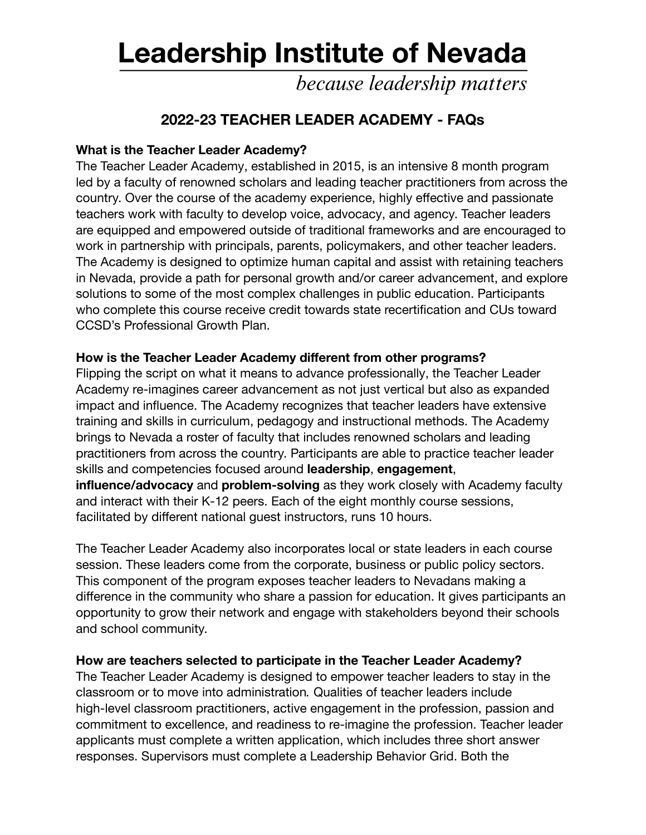# **Leadership Institute of Nevada**

because leadership matters

# **2022-23 TEACHER LEADER ACADEMY - FAQs**

# **What is the Teacher Leader Academy?**

The Teacher Leader Academy, established in 2015, is an intensive 8 month program led by a faculty of renowned scholars and leading teacher practitioners from across the country. Over the course of the academy experience, highly effective and passionate teachers work with faculty to develop voice, advocacy, and agency. Teacher leaders are equipped and empowered outside of traditional frameworks and are encouraged to work in partnership with principals, parents, policymakers, and other teacher leaders. The Academy is designed to optimize human capital and assist with retaining teachers in Nevada, provide a path for personal growth and/or career advancement, and explore solutions to some of the most complex challenges in public education. Participants who complete this course receive credit towards state recertification and CUs toward CCSD's Professional Growth Plan.

#### **How is the Teacher Leader Academy different from other programs?**

Flipping the script on what it means to advance professionally, the Teacher Leader Academy re-imagines career advancement as not just vertical but also as expanded impact and influence. The Academy recognizes that teacher leaders have extensive training and skills in curriculum, pedagogy and instructional methods. The Academy brings to Nevada a roster of faculty that includes renowned scholars and leading practitioners from across the country. Participants are able to practice teacher leader skills and competencies focused around **leadership**, **engagement**, **influence/advocacy** and **problem-solving** as they work closely with Academy faculty and interact with their K-12 peers. Each of the eight monthly course sessions, facilitated by different national guest instructors, runs 10 hours.

The Teacher Leader Academy also incorporates local or state leaders in each course session. These leaders come from the corporate, business or public policy sectors. This component of the program exposes teacher leaders to Nevadans making a difference in the community who share a passion for education. It gives participants an opportunity to grow their network and engage with stakeholders beyond their schools and school community.

# **How are teachers selected to participate in the Teacher Leader Academy?**

The Teacher Leader Academy is designed to empower teacher leaders to stay in the classroom or to move into administration*.* Qualities of teacher leaders include high-level classroom practitioners, active engagement in the profession, passion and commitment to excellence, and readiness to re-imagine the profession. Teacher leader applicants must complete a written application, which includes three short answer responses. Supervisors must complete a Leadership Behavior Grid. Both the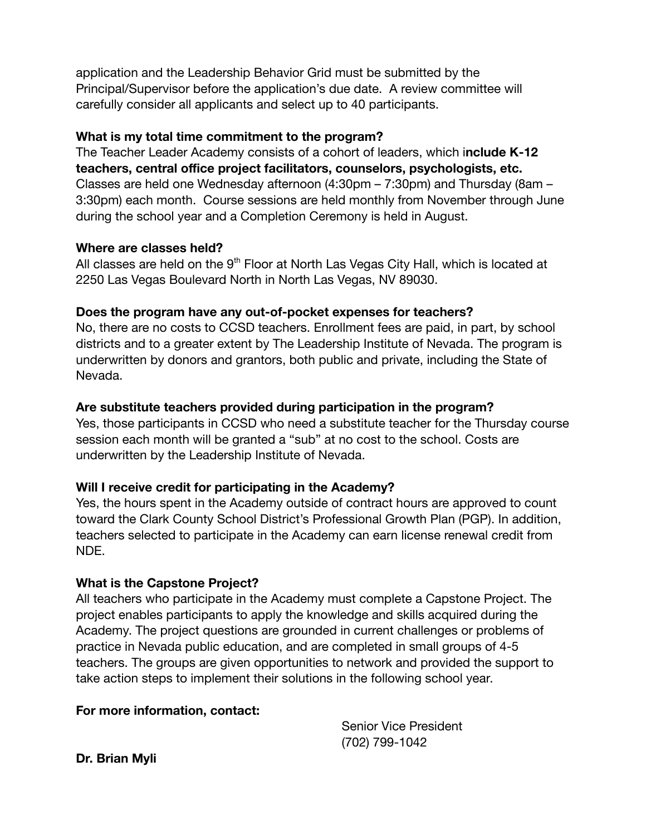application and the Leadership Behavior Grid must be submitted by the Principal/Supervisor before the application's due date. A review committee will carefully consider all applicants and select up to 40 participants.

#### **What is my total time commitment to the program?**

The Teacher Leader Academy consists of a cohort of leaders, which i**nclude K-12 teachers, central office project facilitators, counselors, psychologists, etc.** Classes are held one Wednesday afternoon (4:30pm – 7:30pm) and Thursday (8am – 3:30pm) each month. Course sessions are held monthly from November through June during the school year and a Completion Ceremony is held in August.

#### **Where are classes held?**

All classes are held on the  $9<sup>th</sup>$  Floor at North Las Vegas City Hall, which is located at 2250 Las Vegas Boulevard North in North Las Vegas, NV 89030.

#### **Does the program have any out-of-pocket expenses for teachers?**

No, there are no costs to CCSD teachers. Enrollment fees are paid, in part, by school districts and to a greater extent by The Leadership Institute of Nevada. The program is underwritten by donors and grantors, both public and private, including the State of Nevada.

# **Are substitute teachers provided during participation in the program?**

Yes, those participants in CCSD who need a substitute teacher for the Thursday course session each month will be granted a "sub" at no cost to the school. Costs are underwritten by the Leadership Institute of Nevada.

# **Will I receive credit for participating in the Academy?**

Yes, the hours spent in the Academy outside of contract hours are approved to count toward the Clark County School District's Professional Growth Plan (PGP). In addition, teachers selected to participate in the Academy can earn license renewal credit from NDE.

# **What is the Capstone Project?**

All teachers who participate in the Academy must complete a Capstone Project. The project enables participants to apply the knowledge and skills acquired during the Academy. The project questions are grounded in current challenges or problems of practice in Nevada public education, and are completed in small groups of 4-5 teachers. The groups are given opportunities to network and provided the support to take action steps to implement their solutions in the following school year.

# **For more information, contact:**

Senior Vice President (702) 799-1042

**Dr. Brian Myli**